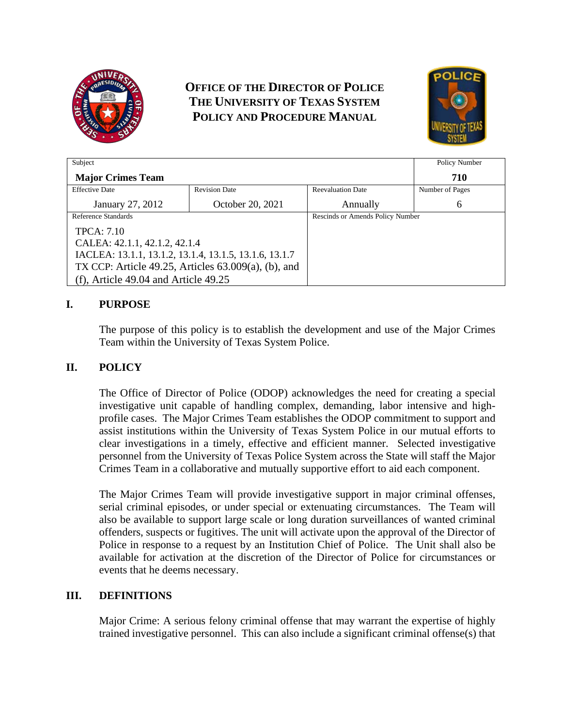

# **OFFICE OF THE DIRECTOR OF POLICE THE UNIVERSITY OF TEXAS SYSTEM POLICY AND PROCEDURE MANUAL**



| Subject                                                   |                      |                                  | Policy Number   |
|-----------------------------------------------------------|----------------------|----------------------------------|-----------------|
| <b>Major Crimes Team</b>                                  |                      |                                  | 710             |
| <b>Effective Date</b>                                     | <b>Revision Date</b> | <b>Reevaluation Date</b>         | Number of Pages |
| January 27, 2012                                          | October 20, 2021     | Annually                         | 6               |
| Reference Standards                                       |                      | Rescinds or Amends Policy Number |                 |
| <b>TPCA</b> : 7.10                                        |                      |                                  |                 |
| CALEA: 42.1.1, 42.1.2, 42.1.4                             |                      |                                  |                 |
| IACLEA: 13.1.1, 13.1.2, 13.1.4, 13.1.5, 13.1.6, 13.1.7    |                      |                                  |                 |
| TX CCP: Article $49.25$ , Articles $63.009(a)$ , (b), and |                      |                                  |                 |
| (f), Article $49.04$ and Article $49.25$                  |                      |                                  |                 |

### **I. PURPOSE**

The purpose of this policy is to establish the development and use of the Major Crimes Team within the University of Texas System Police.

#### **II. POLICY**

The Office of Director of Police (ODOP) acknowledges the need for creating a special investigative unit capable of handling complex, demanding, labor intensive and highprofile cases. The Major Crimes Team establishes the ODOP commitment to support and assist institutions within the University of Texas System Police in our mutual efforts to clear investigations in a timely, effective and efficient manner. Selected investigative personnel from the University of Texas Police System across the State will staff the Major Crimes Team in a collaborative and mutually supportive effort to aid each component.

The Major Crimes Team will provide investigative support in major criminal offenses, serial criminal episodes, or under special or extenuating circumstances. The Team will also be available to support large scale or long duration surveillances of wanted criminal offenders, suspects or fugitives. The unit will activate upon the approval of the Director of Police in response to a request by an Institution Chief of Police. The Unit shall also be available for activation at the discretion of the Director of Police for circumstances or events that he deems necessary.

### **III. DEFINITIONS**

Major Crime: A serious felony criminal offense that may warrant the expertise of highly trained investigative personnel. This can also include a significant criminal offense(s) that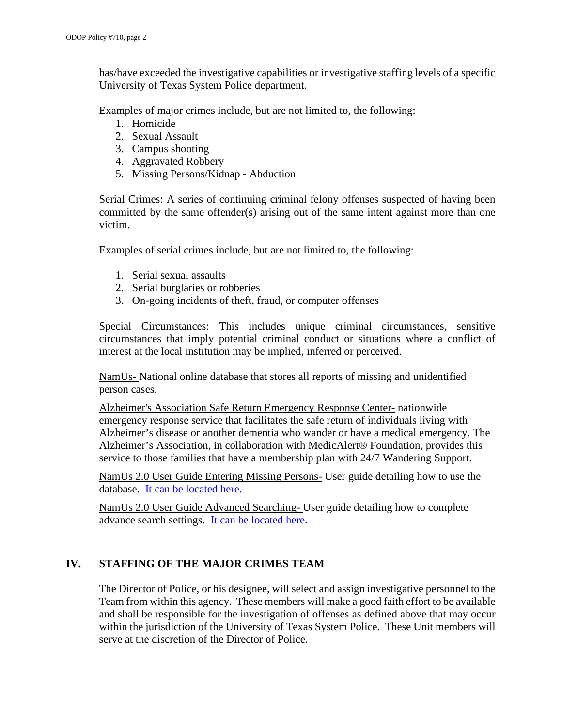has/have exceeded the investigative capabilities or investigative staffing levels of a specific University of Texas System Police department.

Examples of major crimes include, but are not limited to, the following:

- 1. Homicide
- 2. Sexual Assault
- 3. Campus shooting
- 4. Aggravated Robbery
- 5. Missing Persons/Kidnap Abduction

Serial Crimes: A series of continuing criminal felony offenses suspected of having been committed by the same offender(s) arising out of the same intent against more than one victim.

Examples of serial crimes include, but are not limited to, the following:

- 1. Serial sexual assaults
- 2. Serial burglaries or robberies
- 3. On-going incidents of theft, fraud, or computer offenses

Special Circumstances: This includes unique criminal circumstances, sensitive circumstances that imply potential criminal conduct or situations where a conflict of interest at the local institution may be implied, inferred or perceived.

NamUs- National online database that stores all reports of missing and unidentified person cases.

Alzheimer's Association Safe Return Emergency Response Center- nationwide emergency response service that facilitates the safe return of individuals living with Alzheimer's disease or another dementia who wander or have a medical emergency. The Alzheimer's Association, in collaboration with MedicAlert® Foundation, provides this service to those families that have a membership plan with 24/7 Wandering Support.

NamUs 2.0 User Guide Entering Missing Persons- User guide detailing how to use the database. [It can be located here.](https://namus.nij.ojp.gov/sites/g/files/xyckuh336/files/media/document/userguide-enteringmpcases.pdf)

NamUs 2.0 User Guide Advanced Searching- User guide detailing how to complete advance search settings. [It can be located here.](https://namus.nij.ojp.gov/sites/g/files/xyckuh336/files/media/document/userguide-advancedsearching.pdf)

## **IV. STAFFING OF THE MAJOR CRIMES TEAM**

The Director of Police, or his designee, will select and assign investigative personnel to the Team from within this agency. These members will make a good faith effort to be available and shall be responsible for the investigation of offenses as defined above that may occur within the jurisdiction of the University of Texas System Police. These Unit members will serve at the discretion of the Director of Police.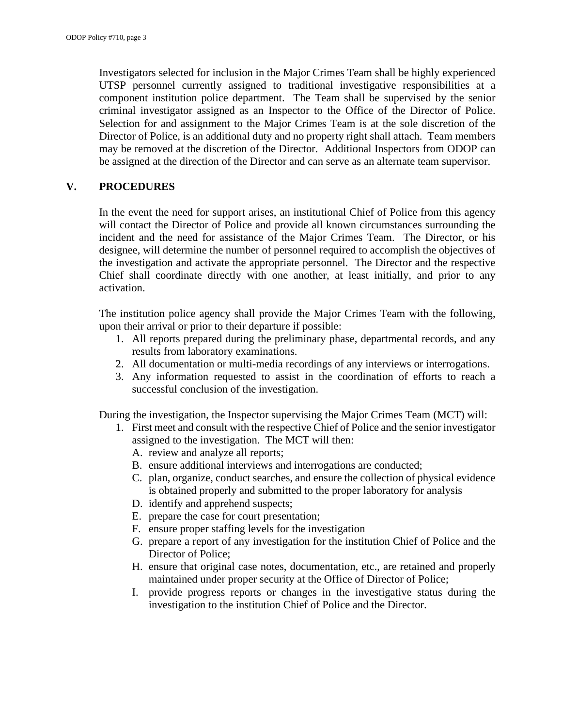Investigators selected for inclusion in the Major Crimes Team shall be highly experienced UTSP personnel currently assigned to traditional investigative responsibilities at a component institution police department. The Team shall be supervised by the senior criminal investigator assigned as an Inspector to the Office of the Director of Police. Selection for and assignment to the Major Crimes Team is at the sole discretion of the Director of Police, is an additional duty and no property right shall attach. Team members may be removed at the discretion of the Director. Additional Inspectors from ODOP can be assigned at the direction of the Director and can serve as an alternate team supervisor.

#### **V. PROCEDURES**

In the event the need for support arises, an institutional Chief of Police from this agency will contact the Director of Police and provide all known circumstances surrounding the incident and the need for assistance of the Major Crimes Team. The Director, or his designee, will determine the number of personnel required to accomplish the objectives of the investigation and activate the appropriate personnel. The Director and the respective Chief shall coordinate directly with one another, at least initially, and prior to any activation.

The institution police agency shall provide the Major Crimes Team with the following, upon their arrival or prior to their departure if possible:

- 1. All reports prepared during the preliminary phase, departmental records, and any results from laboratory examinations.
- 2. All documentation or multi-media recordings of any interviews or interrogations.
- 3. Any information requested to assist in the coordination of efforts to reach a successful conclusion of the investigation.

During the investigation, the Inspector supervising the Major Crimes Team (MCT) will:

- 1. First meet and consult with the respective Chief of Police and the senior investigator assigned to the investigation. The MCT will then:
	- A. review and analyze all reports;
	- B. ensure additional interviews and interrogations are conducted;
	- C. plan, organize, conduct searches, and ensure the collection of physical evidence is obtained properly and submitted to the proper laboratory for analysis
	- D. identify and apprehend suspects;
	- E. prepare the case for court presentation;
	- F. ensure proper staffing levels for the investigation
	- G. prepare a report of any investigation for the institution Chief of Police and the Director of Police;
	- H. ensure that original case notes, documentation, etc., are retained and properly maintained under proper security at the Office of Director of Police;
	- I. provide progress reports or changes in the investigative status during the investigation to the institution Chief of Police and the Director.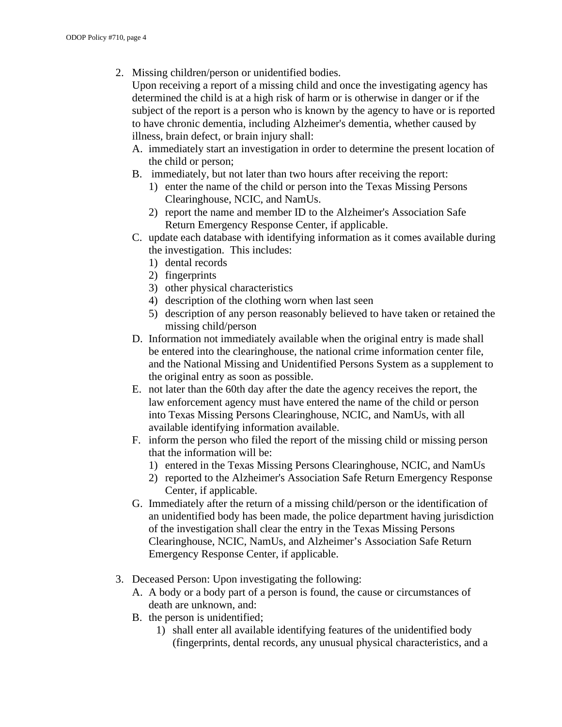2. Missing children/person or unidentified bodies.

Upon receiving a report of a missing child and once the investigating agency has determined the child is at a high risk of harm or is otherwise in danger or if the subject of the report is a person who is known by the agency to have or is reported to have chronic dementia, including Alzheimer's dementia, whether caused by illness, brain defect, or brain injury shall:

- A. immediately start an investigation in order to determine the present location of the child or person;
- B. immediately, but not later than two hours after receiving the report:
	- 1) enter the name of the child or person into the Texas Missing Persons Clearinghouse, NCIC, and NamUs.
	- 2) report the name and member ID to the Alzheimer's Association Safe Return Emergency Response Center, if applicable.
- C. update each database with identifying information as it comes available during the investigation. This includes:
	- 1) dental records
	- 2) fingerprints
	- 3) other physical characteristics
	- 4) description of the clothing worn when last seen
	- 5) description of any person reasonably believed to have taken or retained the missing child/person
- D. Information not immediately available when the original entry is made shall be entered into the clearinghouse, the national crime information center file, and the National Missing and Unidentified Persons System as a supplement to the original entry as soon as possible.
- E. not later than the 60th day after the date the agency receives the report, the law enforcement agency must have entered the name of the child or person into Texas Missing Persons Clearinghouse, NCIC, and NamUs, with all available identifying information available.
- F. inform the person who filed the report of the missing child or missing person that the information will be:
	- 1) entered in the Texas Missing Persons Clearinghouse, NCIC, and NamUs
	- 2) reported to the Alzheimer's Association Safe Return Emergency Response Center, if applicable.
- G. Immediately after the return of a missing child/person or the identification of an unidentified body has been made, the police department having jurisdiction of the investigation shall clear the entry in the Texas Missing Persons Clearinghouse, NCIC, NamUs, and Alzheimer's Association Safe Return Emergency Response Center, if applicable.
- 3. Deceased Person: Upon investigating the following:
	- A. A body or a body part of a person is found, the cause or circumstances of death are unknown, and:
	- B. the person is unidentified;
		- 1) shall enter all available identifying features of the unidentified body (fingerprints, dental records, any unusual physical characteristics, and a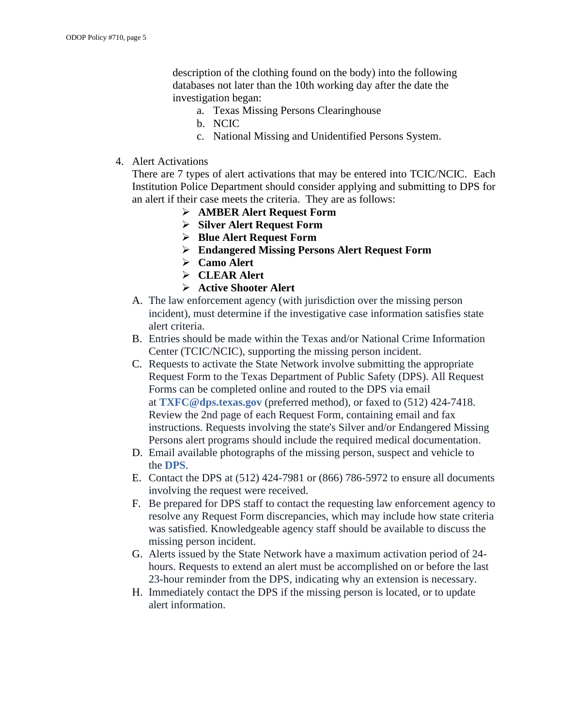description of the clothing found on the body) into the following databases not later than the 10th working day after the date the investigation began:

- a. Texas Missing Persons Clearinghouse
- b. NCIC
- c. National Missing and Unidentified Persons System.
- 4. Alert Activations

There are 7 types of alert activations that may be entered into TCIC/NCIC. Each Institution Police Department should consider applying and submitting to DPS for an alert if their case meets the criteria. They are as follows:

- **[AMBER Alert Request Form](https://www.dps.texas.gov/Internetforms/Forms/MP-24.pdf)**
- **[Silver Alert Request Form](https://www.dps.texas.gov/Internetforms/Forms/MP-26.pdf)**
- **[Blue Alert Request Form](https://www.dps.texas.gov/Internetforms/Forms/MP-25.pdf)**
- **[Endangered Missing Persons Alert Request Form](https://www.dps.texas.gov/Internetforms/Forms/MP-27.pdf)**
- **[Camo Alert](https://www.dps.texas.gov/Internetforms/Forms/MP-28.pdf)**
- **[CLEAR Alert](https://www.dps.texas.gov/Internetforms/Forms/MP-29.pdf)**
- **[Active Shooter Alert](https://www.dps.texas.gov/internetforms/getForm.ashx?id=ICT-5.pdf)**
- A. The law enforcement agency (with jurisdiction over the missing person incident), must determine if the investigative case information satisfies state alert criteria.
- B. Entries should be made within the Texas and/or National Crime Information Center (TCIC/NCIC), supporting the missing person incident.
- C. Requests to activate the State Network involve submitting the appropriate Request Form to the Texas Department of Public Safety (DPS). All Request Forms can be completed online and routed to the DPS via email at **[TXFC@dps.texas.gov](mailto:TXFC@dps.texas.gov)** (preferred method), or faxed to (512) 424-7418. Review the 2nd page of each Request Form, containing email and fax instructions. Requests involving the state's Silver and/or Endangered Missing Persons alert programs should include the required medical documentation.
- D. Email available photographs of the missing person, suspect and vehicle to the **[DPS](mailto:TXFC@dps.texas.gov)**.
- E. Contact the DPS at (512) 424-7981 or (866) 786-5972 to ensure all documents involving the request were received.
- F. Be prepared for DPS staff to contact the requesting law enforcement agency to resolve any Request Form discrepancies, which may include how state criteria was satisfied. Knowledgeable agency staff should be available to discuss the missing person incident.
- G. Alerts issued by the State Network have a maximum activation period of 24 hours. Requests to extend an alert must be accomplished on or before the last 23-hour reminder from the DPS, indicating why an extension is necessary.
- H. Immediately contact the DPS if the missing person is located, or to update alert information.